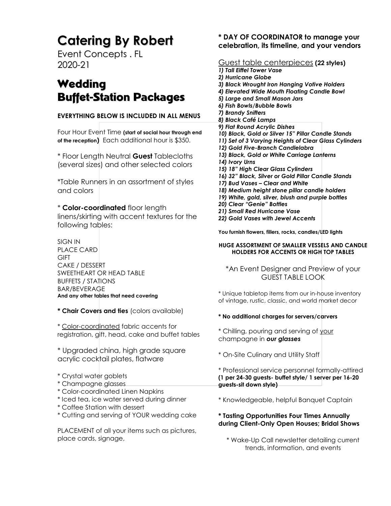# **Catering By Robert**

Event Concepts . FL 2020-21

## **Wedding** Buffet-Station Packages

#### **EVERYTHING BELOW IS INCLUDED IN ALL MENUS**

Four Hour Event Time **(start of social hour through end of the reception)** Each additional hour is \$350.

\* Floor Length Neutral **Guest** Tablecloths (several sizes) and other selected colors

\*Table Runners in an assortment of styles and colors

\* **Color-coordinated** floor length linens/skirting with accent textures for the following tables:

SIGN IN PLACE CARD **GIFT** CAKE / DESSERT SWEETHEART OR HEAD TABLE BUFFETS / STATIONS BAR/BEVERAGE **And any other tables that need covering**

**\* Chair Covers and ties** (colors available)

\* Color-coordinated fabric accents for registration, gift, head, cake and buffet tables

\* Upgraded china, high grade square acrylic cocktail plates, flatware

- \* Crystal water goblets
- \* Champagne glasses
- \* Color-coordinated Linen Napkins
- \* Iced tea, ice water served during dinner
- \* Coffee Station with dessert
- \* Cutting and serving of YOUR wedding cake

PLACEMENT of all your items such as pictures, place cards, signage,

#### **\* DAY OF COORDINATOR to manage your celebration, its timeline, and your vendors**

#### Guest table centerpieces **(22 styles)** *1) Tall Eiffel Tower Vase 2) Hurricane Globe 3) Black Wrought Iron Hanging Votive Holders 4) Elevated Wide Mouth Floating Candle Bowl 5) Large and Small Mason Jars 6) Fish Bowls/Bubble Bowls 7) Brandy Snifters 8) Black Café Lamps 9) Flat Round Acrylic Dishes 10) Black, Gold or Silver 15" Pillar Candle Stands 11) Set of 3 Varying Heights of Clear Glass Cylinders 12) Gold Five-Branch Candlelabra 13) Black, Gold or White Carriage Lanterns 14) Ivory Urns 15) 18" High Clear Glass Cylinders 16) 32" Black, Silver or Gold Pillar Candle Stands 17) Bud Vases – Clear and White 18) Medium height stone pillar candle holders 19) White, gold, silver, blush and purple bottles 20) Clear "Genie" Bottles 21) Small Red Hurricane Vase 22) Gold Vases with Jewel Accents*

**You furnish flowers, fillers, rocks, candles/LED lights**

#### **HUGE ASSORTMENT OF SMALLER VESSELS AND CANDLE HOLDERS FOR ACCENTS OR HIGH TOP TABLES**

\*An Event Designer and Preview of your GUEST TABLE LOOK

\* Unique tabletop items from our in-house inventory of vintage, rustic, classic, and world market decor

#### **\* No additional charges for servers/carvers**

\* Chilling, pouring and serving of your champagne in *our glasses*

\* On-Site Culinary and Utility Staff

\* Professional service personnel formally-attired **(1 per 24-30 guests- buffet style/ 1 server per 16-20 guests-sit down style)**

\* Knowledgeable, helpful Banquet Captain

#### **\* Tasting Opportunities Four Times Annually during Client-Only Open Houses; Bridal Shows**

\* Wake-Up Call newsletter detailing current trends, information, and events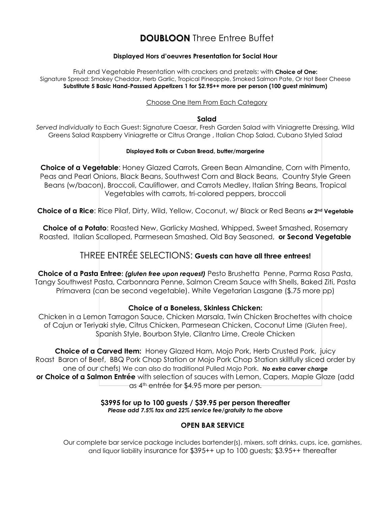### **DOUBLOON** Three Entree Buffet

#### **Displayed Hors d'oeuvres Presentation for Social Hour**

Fruit and Vegetable Presentation with crackers and pretzels: with **Choice of One:** Signature Spread: Smokey Cheddar, Herb Garlic, Tropical Pineapple, Smoked Salmon Pate, Or Hot Beer Cheese **Substitute 5 Basic Hand-Passsed Appetizers 1 for \$2.95++ more per person (100 guest minimum)**

#### Choose One Item From Each Category

#### **Salad**

*Served Individually* to Each Guest: Signature Caesar, Fresh Garden Salad with Viniagrette Dressing, Wild Greens Salad Raspberry Viniagrette or Citrus Orange , Italian Chop Salad, Cubano Styled Salad

#### **Displayed Rolls or Cuban Bread, butter/margerine**

**Choice of a Vegetable**: Honey Glazed Carrots, Green Bean Almandine, Corn with Pimento, Peas and Pearl Onions, Black Beans, Southwest Corn and Black Beans, Country Style Green Beans (w/bacon), Broccoli, Cauliflower, and Carrots Medley, Italian String Beans, Tropical Vegetables with carrots, tri-colored peppers, broccoli

Choice of a Rice: Rice Pilaf, Dirty, Wild, Yellow, Coconut, w/ Black or Red Beans or 2<sup>nd</sup> Vegetable

**Choice of a Potato:** Roasted New, Garlicky Mashed, Whipped, Sweet Smashed, Rosemary Roasted, Italian Scalloped, Parmesean Smashed, Old Bay Seasoned, **or Second Vegetable**

### THREE ENTRÉE SELECTIONS: **Guests can have all three entrees!**

**Choice of a Pasta Entree:** *(gluten free upon request)* Pesto Brushetta Penne, Parma Rosa Pasta, Tangy Southwest Pasta, Carbonnara Penne, Salmon Cream Sauce with Shells, Baked Ziti, Pasta Primavera (can be second vegetable). White Vegetarian Lasgane (\$.75 more pp)

#### **Choice of a Boneless, Skinless Chicken:**

Chicken in a Lemon Tarragon Sauce, Chicken Marsala, Twin Chicken Brochettes with choice of Cajun or Teriyaki style, Citrus Chicken, Parmesean Chicken, Coconut Lime (Gluten Free), Spanish Style, Bourbon Style, Cilantro Lime, Creole Chicken

**Choice of a Carved Item:** Honey Glazed Ham, Mojo Pork, Herb Crusted Pork, juicy Roast Baron of Beef, BBQ Pork Chop Station or Mojo Pork Chop Station skillfully sliced order by one of our chefs) We can also do traditional Pulled Mojo Pork. *No extra carver charge* **or Choice of a Salmon Entrée** with selection of sauces with Lemon, Capers, Maple Glaze (add as 4<sup>th</sup> entrée for \$4.95 more per person.

#### **\$3995 for up to 100 guests / \$39.95 per person thereafter** *Please add 7.5% tax and 22% service fee/gratuity to the above*

#### **OPEN BAR SERVICE**

Our complete bar service package includes bartender(s), mixers, soft drinks, cups, ice, garnishes, and liquor liability insurance for \$395++ up to 100 guests; \$3.95++ thereafter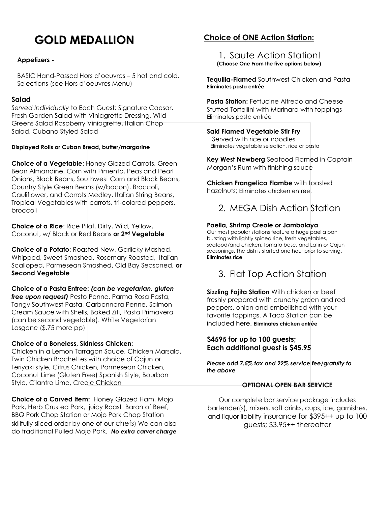# **GOLD MEDALLION**

#### **Appetizers -**

BASIC Hand-Passed Hors d'oeuvres – 5 hot and cold. Selections (see Hors d'oeuvres Menu)

#### **Salad**

*Served Individually* to Each Guest: Signature Caesar, Fresh Garden Salad with Viniagrette Dressing, Wild Greens Salad Raspberry Viniagrette, Italian Chop Salad, Cubano Styled Salad

#### **Displayed Rolls or Cuban Bread, butter/margarine**

**Choice of a Vegetable**: Honey Glazed Carrots, Green Bean Almandine, Corn with Pimento, Peas and Pearl Onions, Black Beans, Southwest Corn and Black Beans, Country Style Green Beans (w/bacon), Broccoli, Cauliflower, and Carrots Medley, Italian String Beans, Tropical Vegetables with carrots, tri-colored peppers, broccoli

**Choice of a Rice**: Rice Pilaf, Dirty, Wild, Yellow, Coconut, w/ Black or Red Beans **or 2nd Vegetable**

**Choice of a Potato**: Roasted New, Garlicky Mashed, Whipped, Sweet Smashed, Rosemary Roasted, Italian Scalloped, Parmesean Smashed, Old Bay Seasoned, **or Second Vegetable**

**Choice of a Pasta Entree:** *(can be vegetarian, gluten free upon request)* Pesto Penne, Parma Rosa Pasta, Tangy Southwest Pasta, Carbonnara Penne, Salmon Cream Sauce with Shells, Baked Ziti, Pasta Primavera (can be second vegetable). White Vegetarian Lasgane (\$.75 more pp)

#### **Choice of a Boneless, Skinless Chicken:**

Chicken in a Lemon Tarragon Sauce, Chicken Marsala, Twin Chicken Brochettes with choice of Cajun or Teriyaki style, Citrus Chicken, Parmesean Chicken, Coconut Lime (Gluten Free) Spanish Style, Bourbon Style, Cilantro Lime, Creole Chicken

**Choice of a Carved Item:** Honey Glazed Ham, Mojo Pork, Herb Crusted Pork, juicy Roast Baron of Beef, BBQ Pork Chop Station or Mojo Pork Chop Station skillfully sliced order by one of our chefs) We can also do traditional Pulled Mojo Pork. *No extra carver charge*

#### **Choice of ONE Action Station:**

1. Saute Action Station!  **(Choose One From the five options below)**

**Tequilla-Flamed** Southwest Chicken and Pasta **Eliminates pasta entrée**

**Pasta Station:** Fettucine Alfredo and Cheese Stuffed Tortellini with Marinara with toppings Eliminates pasta entrée

#### **Saki Flamed Vegetable Stir Fry**

 Served with rice or noodles Eliminates vegetable selection, rice or pasta

**Key West Newberg** Seafood Flamed in Captain Morgan's Rum with finishing sauce

**Chicken Frangelica Flambe** with toasted hazelnuts; Eliminates chicken entree.



#### **Paella, Shrimp Creole or Jambalaya**

Our most popular stations feature a huge paella pan bursting with lightly spiced rice, fresh vegetables, seafood/and chicken, tomato base, and Latin or Cajun seasonings. The dish is started one hour prior to serving. **Eliminates rice**

### 3. Flat Top Action Station

**Sizzling Fajita Station** With chicken or beef freshly prepared with crunchy green and red peppers, onion and embellished with your favorite toppings. A Taco Station can be included here. **Eliminates chicken entrée**

#### **\$4595 for up to 100 guests; Each additional guest is \$45.95**

*Please add 7.5% tax and 22% service fee/gratuity to the above*

#### **OPTIONAL OPEN BAR SERVICE**

Our complete bar service package includes bartender(s), mixers, soft drinks, cups, ice, garnishes, and liquor liability insurance for \$395++ up to 100 guests; \$3.95++ thereafter